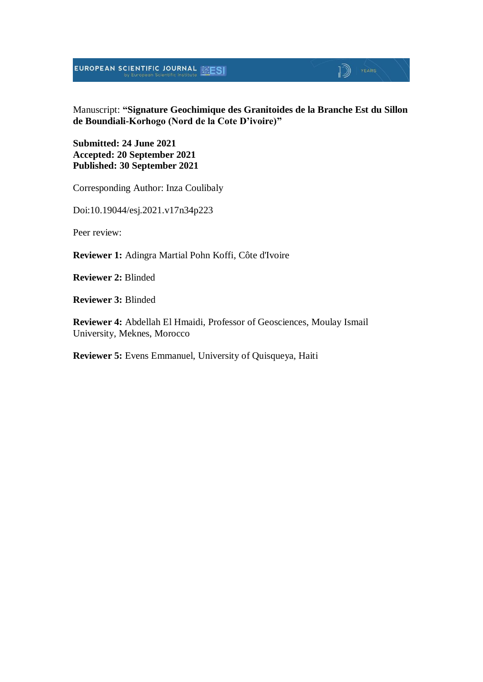# $\mathbb{D}$  | YEARS

Manuscript: **"Signature Geochimique des Granitoides de la Branche Est du Sillon de Boundiali-Korhogo (Nord de la Cote D'ivoire)"**

**Submitted: 24 June 2021 Accepted: 20 September 2021 Published: 30 September 2021**

Corresponding Author: Inza Coulibaly

Doi:10.19044/esj.2021.v17n34p223

Peer review:

**Reviewer 1:** Adingra Martial Pohn Koffi, Côte d'Ivoire

**Reviewer 2:** Blinded

**Reviewer 3:** Blinded

**Reviewer 4:** Abdellah El Hmaidi, Professor of Geosciences, Moulay Ismail University, Meknes, Morocco

**Reviewer 5:** Evens Emmanuel, University of Quisqueya, Haiti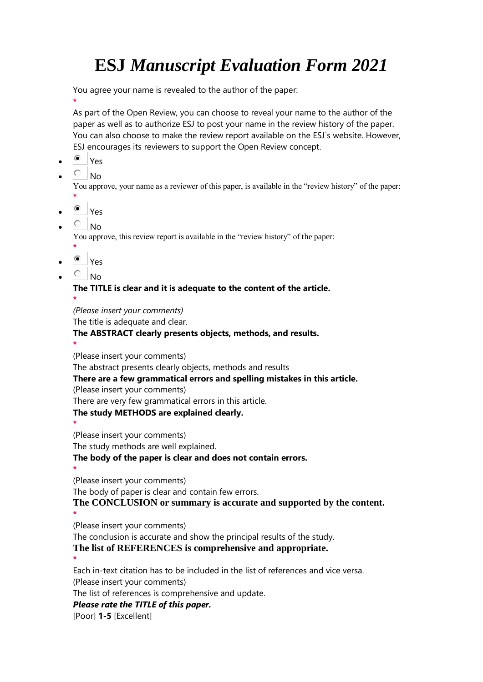You agree your name is revealed to the author of the paper:

**\*** As part of the Open Review, you can choose to reveal your name to the author of the paper as well as to authorize ESJ to post your name in the review history of the paper. You can also choose to make the review report available on the ESJ`s website. However, ESJ encourages its reviewers to support the Open Review concept.

- Yes
- $O_{NO}$

You approve, your name as a reviewer of this paper, is available in the "review history" of the paper:

- **\***
- $\bullet$  Yes
- $\overline{C}$  No.

**\***

You approve, this review report is available in the "review history" of the paper:

- Yes
- $\circ$  No

**The TITLE is clear and it is adequate to the content of the article. \***

*(Please insert your comments)*

The title is adequate and clear.

#### **The ABSTRACT clearly presents objects, methods, and results.**

**\***

(Please insert your comments)

The abstract presents clearly objects, methods and results

**There are a few grammatical errors and spelling mistakes in this article.**

(Please insert your comments)

There are very few grammatical errors in this article.

#### **The study METHODS are explained clearly.**

**\*** (Please insert your comments)

The study methods are well explained.

#### **The body of the paper is clear and does not contain errors.**

**\*** (Please insert your comments)

The body of paper is clear and contain few errors.

**The CONCLUSION or summary is accurate and supported by the content.**

**\*** (Please insert your comments)

The conclusion is accurate and show the principal results of the study.

**The list of REFERENCES is comprehensive and appropriate.**

**\***

Each in-text citation has to be included in the list of references and vice versa. (Please insert your comments)

The list of references is comprehensive and update.

### *Please rate the TITLE of this paper.*

[Poor] **1-5** [Excellent]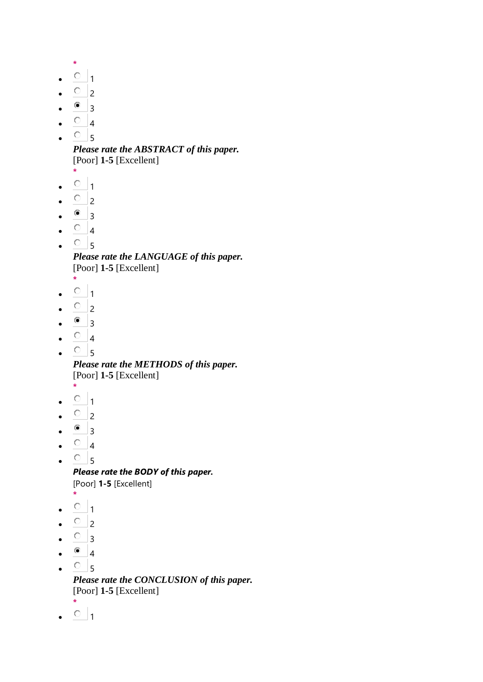```
*
\circ _1
```
- $\overline{O}$  2
- $^{\circ}$  3
- $\circ$  4
- $\circ$  5

*Please rate the ABSTRACT of this paper.* [Poor] **1-5** [Excellent]

- **\***
- $\circ$  1
- $\overline{O}$  2
- $^{\circ}$  3
- $\circ$  4
- $\circ$ <sub>5</sub>

*Please rate the LANGUAGE of this paper.* [Poor] **1-5** [Excellent]

- **\***  $\circ$ <sub>1</sub>
- 
- $\circ$  2
- $^{\circ}$  3
- $\circ$  4
- $\circ$ <sub>5</sub>

*Please rate the METHODS of this paper.* [Poor] **1-5** [Excellent]

- **\***
- $^{\circ}$  1
- $\circ$  2
- $\bullet$  3
- $\circ$  4
- $\circ$ <sub>5</sub>

*Please rate the BODY of this paper.* [Poor] **1-5** [Excellent]

- **\***  $\circ$  1
- $\overline{O}$  2
- 
- $\circ$  3
- $^{\circ}$  4
- $\cdot$   $\circ$  5

*Please rate the CONCLUSION of this paper.* [Poor] **1-5** [Excellent]

- **\***
- $\cdot$   $\circ$  1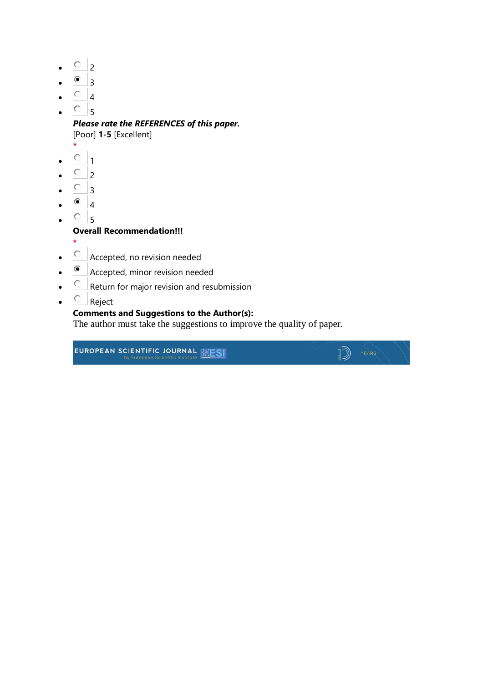- $\overline{O}$  2
- $^{\circ}$  3
- $\circ$  4
- $\circ$ <sub>5</sub>

*Please rate the REFERENCES of this paper.*

[Poor] **1-5** [Excellent]

- **\***
- $\circ$   $_1$
- $\overline{O}$  2
- $\circ$  3
- $^{\circ}$  4
- $\circ$  5

#### **Overall Recommendation!!!**

- **\***
- Accepted, no revision needed
- Accepted, minor revision needed
- $\overline{C}$  Return for major revision and resubmission
- $\circ$  Reject

### **Comments and Suggestions to the Author(s):**

The author must take the suggestions to improve the quality of paper.

 $\mathbb{D}$  YEARS

EUROPEAN SCIENTIFIC JOURNAL **ENES**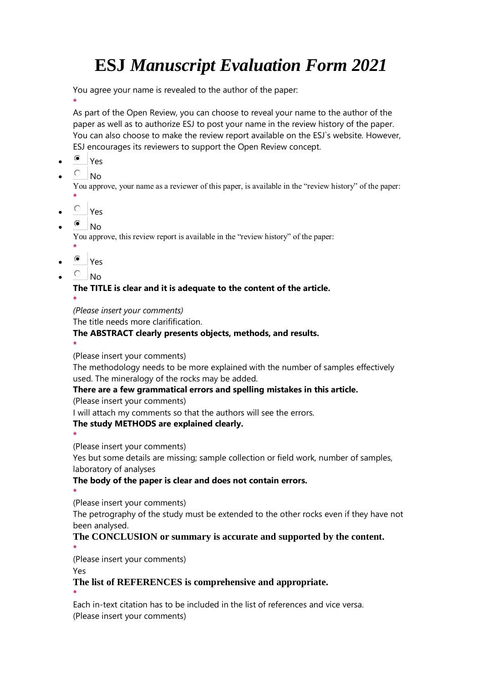You agree your name is revealed to the author of the paper:

**\*** As part of the Open Review, you can choose to reveal your name to the author of the paper as well as to authorize ESJ to post your name in the review history of the paper. You can also choose to make the review report available on the ESJ`s website. However, ESJ encourages its reviewers to support the Open Review concept.

- Yes
- $O$  No

You approve, your name as a reviewer of this paper, is available in the "review history" of the paper:

- **\***
- $\overline{C}$  Yes
- $^{\circ}$  No.

You approve, this review report is available in the "review history" of the paper:

- **\*** Yes
- $\circ$  No

**The TITLE is clear and it is adequate to the content of the article. \***

*(Please insert your comments)*

The title needs more clarifification.

#### **The ABSTRACT clearly presents objects, methods, and results.**

**\***

**\***

(Please insert your comments)

The methodology needs to be more explained with the number of samples effectively used. The mineralogy of the rocks may be added.

#### **There are a few grammatical errors and spelling mistakes in this article.**

(Please insert your comments)

I will attach my comments so that the authors will see the errors.

#### **The study METHODS are explained clearly.**

(Please insert your comments)

Yes but some details are missing; sample collection or field work, number of samples, laboratory of analyses

#### **The body of the paper is clear and does not contain errors.**

**\*** (Please insert your comments)

The petrography of the study must be extended to the other rocks even if they have not been analysed.

#### **The CONCLUSION or summary is accurate and supported by the content. \***

(Please insert your comments)

Yes

**\***

#### **The list of REFERENCES is comprehensive and appropriate.**

Each in-text citation has to be included in the list of references and vice versa. (Please insert your comments)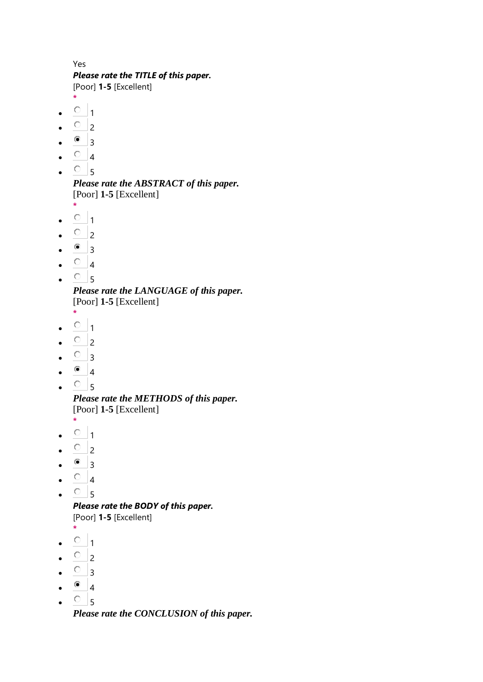Yes *Please rate the TITLE of this paper.* [Poor] **1-5** [Excellent]

- **\***
- $\circ$  1
- $\overline{O}$  2
- $^{\circ}$  3
- $\circ$  4
- $^{\circ}$  5

*Please rate the ABSTRACT of this paper.* [Poor] **1-5** [Excellent]

- **\***  $0<sub>1</sub>$
- 
- $\overline{O}$  2
- $\bullet$  3
- $\circ$  4
- $\circ$ <sub>5</sub>

*Please rate the LANGUAGE of this paper.* [Poor] **1-5** [Excellent]

- **\***
- $\circ$  1
- $\circ$  2
- $\overline{\circ}$  3
- $^{\circ}$  4
- $\bullet$   $\circ$  5

*Please rate the METHODS of this paper.* [Poor] **1-5** [Excellent]

**\***

- $^{\circ}$  1
- $\overline{O}$  2
- $^{\circ}$  3
- $\overline{O}$  4
- $\circ$ <sub>5</sub>

*Please rate the BODY of this paper.* [Poor] **1-5** [Excellent]

- **\***
- $\circ$   $_1$
- $\overline{O}$  2
- $\begin{array}{cc} \circ & 3 \end{array}$
- $\bullet$  4
- $\circ$  5

*Please rate the CONCLUSION of this paper.*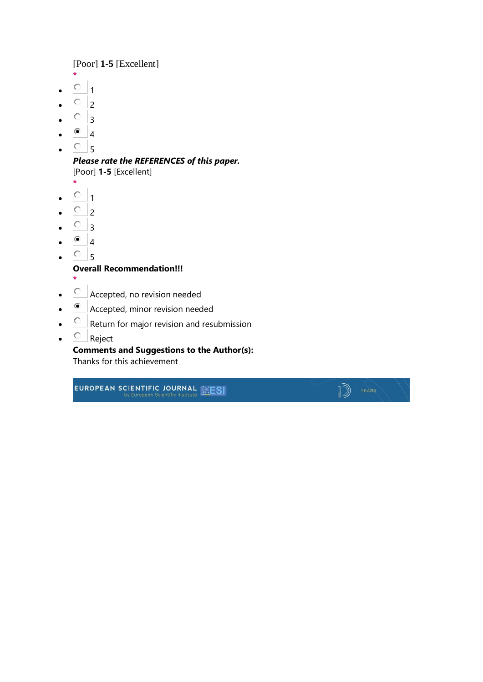[Poor] **1-5** [Excellent]

- **\***  $^{\circ}$  1
- 
- $\overline{O}$  2
- $\circ$  3
- $\bullet$  4
- $\circ$ <sub>5</sub>

*Please rate the REFERENCES of this paper.* [Poor] **1-5** [Excellent]

- **\***
- $\circ$   $_1$
- $\overline{O}$  2
- $\circ$  3
- $^{\circ}$  4
- 
- $O<sub>5</sub>$

**Overall Recommendation!!!**

- **\***
- Accepted, no revision needed
- Accepted, minor revision needed
- $\overline{C}$  Return for major revision and resubmission
- $\circ$  Reject

#### **Comments and Suggestions to the Author(s):**

 $\mathbb{D}$  (YEARS

Thanks for this achievement

EUROPEAN SCIENTIFIC JOURNAL **EXESI**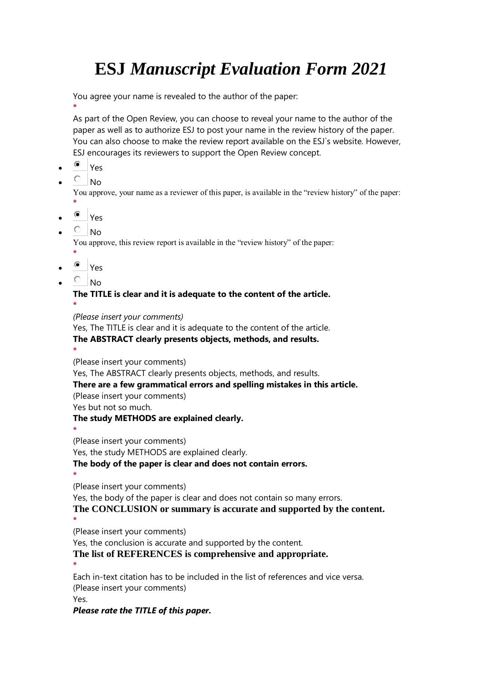You agree your name is revealed to the author of the paper:

**\***

As part of the Open Review, you can choose to reveal your name to the author of the paper as well as to authorize ESJ to post your name in the review history of the paper. You can also choose to make the review report available on the ESJ`s website. However, ESJ encourages its reviewers to support the Open Review concept.

- Yes
- $\overline{\circ}$  No

You approve, your name as a reviewer of this paper, is available in the "review history" of the paper: **\***

- $^{\circ}$  Yes
- $\overline{C}$  No

You approve, this review report is available in the "review history" of the paper:

- **\*** Yes
- $\overline{C}$  No

**\***

**\***

## **The TITLE is clear and it is adequate to the content of the article.**

*(Please insert your comments)*

Yes, The TITLE is clear and it is adequate to the content of the article.

#### **The ABSTRACT clearly presents objects, methods, and results.**

(Please insert your comments)

Yes, The ABSTRACT clearly presents objects, methods, and results.

#### **There are a few grammatical errors and spelling mistakes in this article.**

(Please insert your comments)

Yes but not so much.

#### **The study METHODS are explained clearly.**

**\*** (Please insert your comments)

Yes, the study METHODS are explained clearly.

#### **The body of the paper is clear and does not contain errors.**

(Please insert your comments)

Yes, the body of the paper is clear and does not contain so many errors. **The CONCLUSION or summary is accurate and supported by the content.**

**\*** (Please insert your comments)

Yes, the conclusion is accurate and supported by the content.

**The list of REFERENCES is comprehensive and appropriate.**

**\***

**\***

Each in-text citation has to be included in the list of references and vice versa. (Please insert your comments) Yes.

*Please rate the TITLE of this paper.*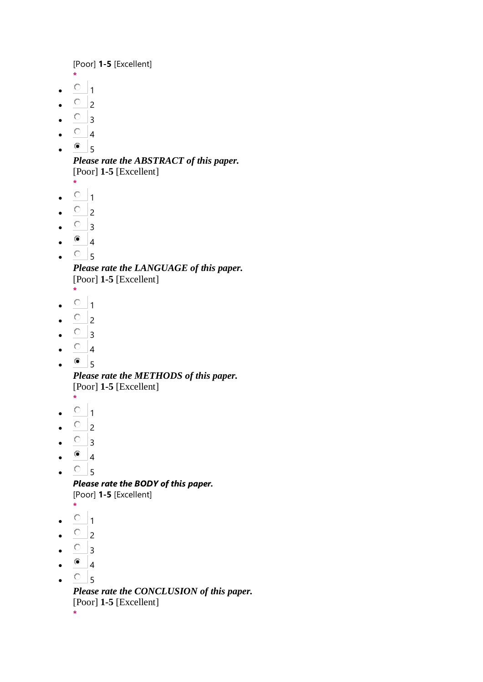[Poor] **1-5** [Excellent]

- **\***  $\bullet$  0 1
- $\overline{O}$  2
- $\circ$  3
- $\circ$  4
- $\bullet$  5

```
Please rate the ABSTRACT of this paper.
[Poor] 1-5 [Excellent]
```
- **\***
- $\bullet$   $\circ$   $\bullet$   $\bullet$
- $\overline{O}$  2
- $\circ$  3
- $^{\circ}$  4
- $\circ$ <sub>5</sub>

*Please rate the LANGUAGE of this paper.* [Poor] **1-5** [Excellent]

- **\***
- $\bullet$  0 1
- $\circ$  2
- $\circ$  3
- $\circ$  4
- $\bullet$  5

*Please rate the METHODS of this paper.* [Poor] **1-5** [Excellent]

- **\***
- $0<sub>1</sub>$
- $\overline{O}$  2
- $\circ$  3
- $\bullet$  4
- $\bullet$   $\circ$  5

*Please rate the BODY of this paper.*

[Poor] **1-5** [Excellent]

- **\***  $\circ$  1
- 
- $\overline{O}$  2
- $\bullet$   $\circ$  3
- $\bullet$  4
- $\cdot$   $\circ$   $\cdot$  5

*Please rate the CONCLUSION of this paper.* [Poor] **1-5** [Excellent] **\***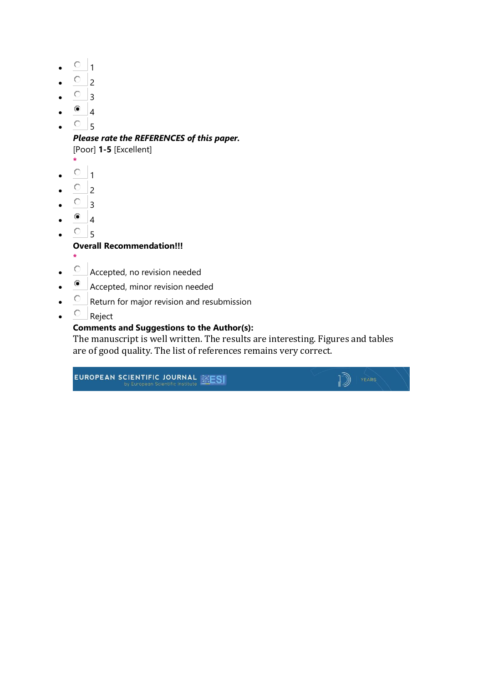- $\circ$  1
- $\overline{\circ}$  2
- $\circ$  3
- $\bullet$  4
- $\circ$  5

### *Please rate the REFERENCES of this paper.*

[Poor] **1-5** [Excellent]

- **\***
- $0<sub>1</sub>$
- $\overline{O}$  2
- $\circ$  3
- $^{\circ}$  4
- $\circ$ <sub>5</sub>

#### **Overall Recommendation!!!**

- **\***
- $\bullet$   $\quad$  Accepted, no revision needed
- Accepted, minor revision needed
- $\overline{C}$  Return for major revision and resubmission
- $\circ$  Reject

#### **Comments and Suggestions to the Author(s):**

The manuscript is well written. The results are interesting. Figures and tables are of good quality. The list of references remains very correct.

 $\sqrt{2}$   $\sqrt{2}$ 

# EUROPEAN SCIENTIFIC JOURNAL **SESI**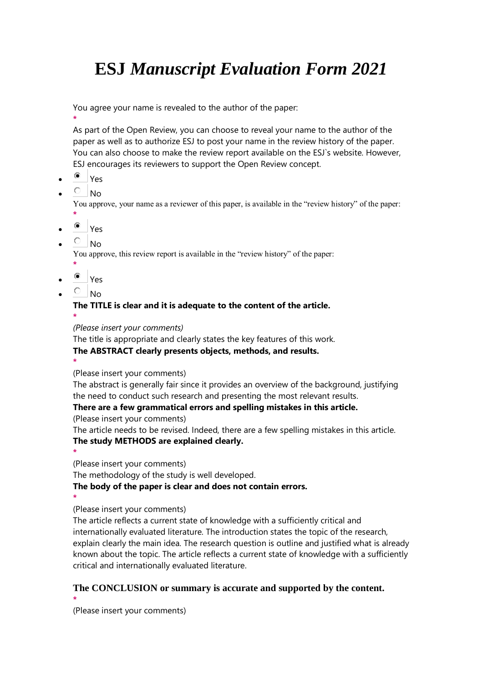You agree your name is revealed to the author of the paper:

**\*** As part of the Open Review, you can choose to reveal your name to the author of the paper as well as to authorize ESJ to post your name in the review history of the paper. You can also choose to make the review report available on the ESJ`s website. However, ESJ encourages its reviewers to support the Open Review concept.

- Yes
- $\overline{C}$  No

You approve, your name as a reviewer of this paper, is available in the "review history" of the paper: **\***

- Yes
- $\overline{C}$  No.

You approve, this review report is available in the "review history" of the paper:

- **\*** <sup>o</sup> Yes
- $\overline{C}$  No

**\***

### **The TITLE is clear and it is adequate to the content of the article.**

*(Please insert your comments)*

The title is appropriate and clearly states the key features of this work. **The ABSTRACT clearly presents objects, methods, and results.**

**\*** (Please insert your comments)

The abstract is generally fair since it provides an overview of the background, justifying the need to conduct such research and presenting the most relevant results.

#### **There are a few grammatical errors and spelling mistakes in this article.**

(Please insert your comments)

The article needs to be revised. Indeed, there are a few spelling mistakes in this article. **The study METHODS are explained clearly.**

(Please insert your comments)

The methodology of the study is well developed.

**The body of the paper is clear and does not contain errors.**

**\***

**\***

(Please insert your comments)

The article reflects a current state of knowledge with a sufficiently critical and internationally evaluated literature. The introduction states the topic of the research, explain clearly the main idea. The research question is outline and justified what is already known about the topic. The article reflects a current state of knowledge with a sufficiently critical and internationally evaluated literature.

#### **The CONCLUSION or summary is accurate and supported by the content. \***

(Please insert your comments)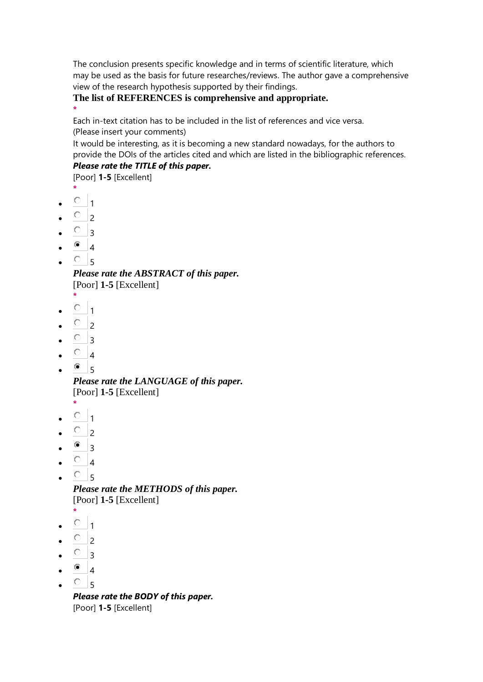The conclusion presents specific knowledge and in terms of scientific literature, which may be used as the basis for future researches/reviews. The author gave a comprehensive view of the research hypothesis supported by their findings.

**The list of REFERENCES is comprehensive and appropriate.**

Each in-text citation has to be included in the list of references and vice versa. (Please insert your comments)

It would be interesting, as it is becoming a new standard nowadays, for the authors to provide the DOIs of the articles cited and which are listed in the bibliographic references. *Please rate the TITLE of this paper.*

[Poor] **1-5** [Excellent]

**\***

**\***

- $\circ$  1
- $\circ$  2
- $\circ$  3
- $^{\circ}$  4
- $\circ$  5

*Please rate the ABSTRACT of this paper.* [Poor] **1-5** [Excellent]

- **\***  $0<sub>1</sub>$
- $\circ$ <sub>2</sub>
- 
- $\circ$  3
- $\circ$  4
- $\bullet$  5

*Please rate the LANGUAGE of this paper.* [Poor] **1-5** [Excellent]

- **\***
- $\circ$   $_1$
- $\circ$  2
- $\bullet$  3
- $\circ$  4
- $\circ$ <sub>5</sub>

*Please rate the METHODS of this paper.* [Poor] **1-5** [Excellent]

- **\***
- $\circ$  1
- $\circ$  2
- $\circ$  3
- $^{\circ}$  4
- $\circ$ <sub>5</sub>

*Please rate the BODY of this paper.* [Poor] **1-5** [Excellent]